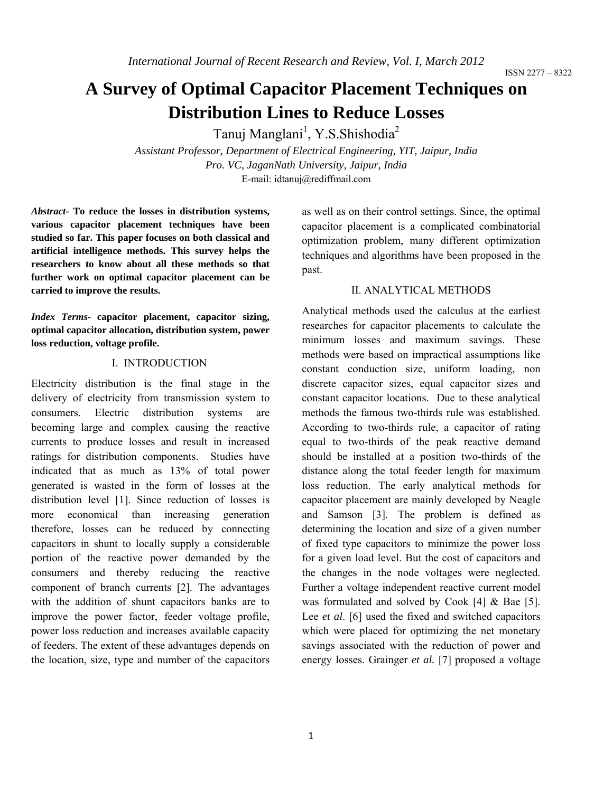# **A Survey of Optimal Capacitor Placement Techniques on Distribution Lines to Reduce Losses**

Tanuj Manglani<sup>1</sup>, Y.S.Shishodia<sup>2</sup>

*Assistant Professor, Department of Electrical Engineering, YIT, Jaipur, India Pro. VC, JaganNath University, Jaipur, India*  E-mail: idtanuj@rediffmail.com

*Abstract-* **To reduce the losses in distribution systems, various capacitor placement techniques have been studied so far. This paper focuses on both classical and artificial intelligence methods. This survey helps the researchers to know about all these methods so that further work on optimal capacitor placement can be carried to improve the results.** 

*Index Terms-* **capacitor placement, capacitor sizing, optimal capacitor allocation, distribution system, power loss reduction, voltage profile.**

## I. INTRODUCTION

Electricity distribution is the final stage in the delivery of electricity from transmission system to consumers. Electric distribution systems are becoming large and complex causing the reactive currents to produce losses and result in increased ratings for distribution components. Studies have indicated that as much as 13% of total power generated is wasted in the form of losses at the distribution level [1]. Since reduction of losses is more economical than increasing generation therefore, losses can be reduced by connecting capacitors in shunt to locally supply a considerable portion of the reactive power demanded by the consumers and thereby reducing the reactive component of branch currents [2]. The advantages with the addition of shunt capacitors banks are to improve the power factor, feeder voltage profile, power loss reduction and increases available capacity of feeders. The extent of these advantages depends on the location, size, type and number of the capacitors

as well as on their control settings. Since, the optimal capacitor placement is a complicated combinatorial optimization problem, many different optimization techniques and algorithms have been proposed in the past.

#### II. ANALYTICAL METHODS

Analytical methods used the calculus at the earliest researches for capacitor placements to calculate the minimum losses and maximum savings. These methods were based on impractical assumptions like constant conduction size, uniform loading, non discrete capacitor sizes, equal capacitor sizes and constant capacitor locations. Due to these analytical methods the famous two-thirds rule was established. According to two-thirds rule, a capacitor of rating equal to two-thirds of the peak reactive demand should be installed at a position two-thirds of the distance along the total feeder length for maximum loss reduction. The early analytical methods for capacitor placement are mainly developed by Neagle and Samson [3]. The problem is defined as determining the location and size of a given number of fixed type capacitors to minimize the power loss for a given load level. But the cost of capacitors and the changes in the node voltages were neglected. Further a voltage independent reactive current model was formulated and solved by Cook [4] & Bae [5]. Lee *et al*. [6] used the fixed and switched capacitors which were placed for optimizing the net monetary savings associated with the reduction of power and energy losses. Grainger *et al.* [7] proposed a voltage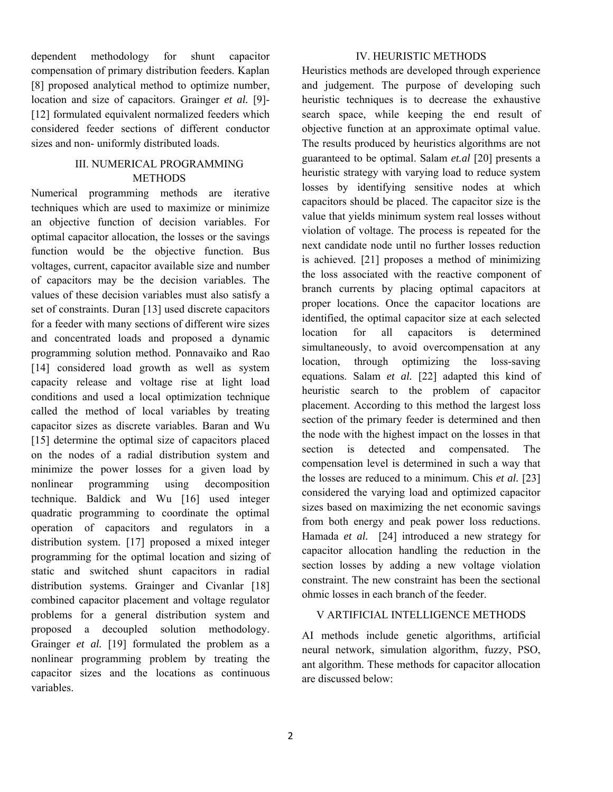dependent methodology for shunt capacitor compensation of primary distribution feeders. Kaplan [8] proposed analytical method to optimize number, location and size of capacitors. Grainger *et al.* [9]- [12] formulated equivalent normalized feeders which considered feeder sections of different conductor sizes and non- uniformly distributed loads.

## III. NUMERICAL PROGRAMMING **METHODS**

Numerical programming methods are iterative techniques which are used to maximize or minimize an objective function of decision variables. For optimal capacitor allocation, the losses or the savings function would be the objective function. Bus voltages, current, capacitor available size and number of capacitors may be the decision variables. The values of these decision variables must also satisfy a set of constraints. Duran [13] used discrete capacitors for a feeder with many sections of different wire sizes and concentrated loads and proposed a dynamic programming solution method. Ponnavaiko and Rao [14] considered load growth as well as system capacity release and voltage rise at light load conditions and used a local optimization technique called the method of local variables by treating capacitor sizes as discrete variables. Baran and Wu [15] determine the optimal size of capacitors placed on the nodes of a radial distribution system and minimize the power losses for a given load by nonlinear programming using decomposition technique. Baldick and Wu [16] used integer quadratic programming to coordinate the optimal operation of capacitors and regulators in a distribution system. [17] proposed a mixed integer programming for the optimal location and sizing of static and switched shunt capacitors in radial distribution systems. Grainger and Civanlar [18] combined capacitor placement and voltage regulator problems for a general distribution system and proposed a decoupled solution methodology. Grainger *et al.* [19] formulated the problem as a nonlinear programming problem by treating the capacitor sizes and the locations as continuous variables.

#### IV. HEURISTIC METHODS

Heuristics methods are developed through experience and judgement. The purpose of developing such heuristic techniques is to decrease the exhaustive search space, while keeping the end result of objective function at an approximate optimal value. The results produced by heuristics algorithms are not guaranteed to be optimal. Salam *et.al* [20] presents a heuristic strategy with varying load to reduce system losses by identifying sensitive nodes at which capacitors should be placed. The capacitor size is the value that yields minimum system real losses without violation of voltage. The process is repeated for the next candidate node until no further losses reduction is achieved. [21] proposes a method of minimizing the loss associated with the reactive component of branch currents by placing optimal capacitors at proper locations. Once the capacitor locations are identified, the optimal capacitor size at each selected location for all capacitors is determined simultaneously, to avoid overcompensation at any location, through optimizing the loss-saving equations. Salam *et al.* [22] adapted this kind of heuristic search to the problem of capacitor placement. According to this method the largest loss section of the primary feeder is determined and then the node with the highest impact on the losses in that section is detected and compensated. The compensation level is determined in such a way that the losses are reduced to a minimum. Chis *et al.* [23] considered the varying load and optimized capacitor sizes based on maximizing the net economic savings from both energy and peak power loss reductions. Hamada *et al.* [24] introduced a new strategy for capacitor allocation handling the reduction in the section losses by adding a new voltage violation constraint. The new constraint has been the sectional ohmic losses in each branch of the feeder.

## V ARTIFICIAL INTELLIGENCE METHODS

AI methods include genetic algorithms, artificial neural network, simulation algorithm, fuzzy, PSO, ant algorithm. These methods for capacitor allocation are discussed below: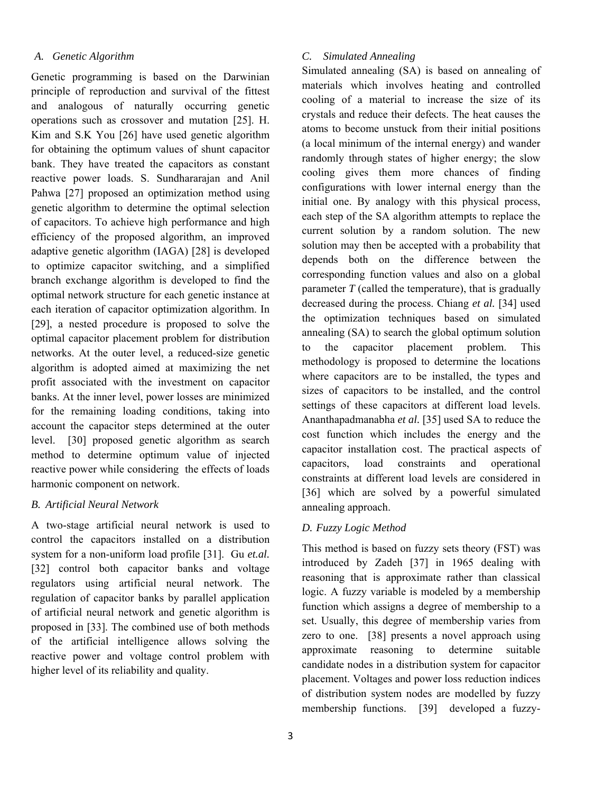## *A. Genetic Algorithm*

Genetic programming is based on the Darwinian principle of reproduction and survival of the fittest and analogous of naturally occurring genetic operations such as crossover and mutation [25]. H. Kim and S.K You [26] have used genetic algorithm for obtaining the optimum values of shunt capacitor bank. They have treated the capacitors as constant reactive power loads. S. Sundhararajan and Anil Pahwa [27] proposed an optimization method using genetic algorithm to determine the optimal selection of capacitors. To achieve high performance and high efficiency of the proposed algorithm, an improved adaptive genetic algorithm (IAGA) [28] is developed to optimize capacitor switching, and a simplified branch exchange algorithm is developed to find the optimal network structure for each genetic instance at each iteration of capacitor optimization algorithm. In [29], a nested procedure is proposed to solve the optimal capacitor placement problem for distribution networks. At the outer level, a reduced-size genetic algorithm is adopted aimed at maximizing the net profit associated with the investment on capacitor banks. At the inner level, power losses are minimized for the remaining loading conditions, taking into account the capacitor steps determined at the outer level. [30] proposed genetic algorithm as search method to determine optimum value of injected reactive power while considering the effects of loads harmonic component on network.

## *B. Artificial Neural Network*

A two-stage artificial neural network is used to control the capacitors installed on a distribution system for a non-uniform load profile [31]. Gu *et.al.* [32] control both capacitor banks and voltage regulators using artificial neural network. The regulation of capacitor banks by parallel application of artificial neural network and genetic algorithm is proposed in [33]. The combined use of both methods of the artificial intelligence allows solving the reactive power and voltage control problem with higher level of its reliability and quality.

## *C. Simulated Annealing*

Simulated annealing (SA) is based on annealing of materials which involves heating and controlled cooling of a material to increase the size of its crystals and reduce their defects. The heat causes the atoms to become unstuck from their initial positions (a local minimum of the internal energy) and wander randomly through states of higher energy; the slow cooling gives them more chances of finding configurations with lower internal energy than the initial one. By analogy with this physical process, each step of the SA algorithm attempts to replace the current solution by a random solution. The new solution may then be accepted with a probability that depends both on the difference between the corresponding function values and also on a global parameter *T* (called the temperature), that is gradually decreased during the process. Chiang *et al.* [34] used the optimization techniques based on simulated annealing (SA) to search the global optimum solution to the capacitor placement problem. This methodology is proposed to determine the locations where capacitors are to be installed, the types and sizes of capacitors to be installed, and the control settings of these capacitors at different load levels. Ananthapadmanabha *et al.* [35] used SA to reduce the cost function which includes the energy and the capacitor installation cost. The practical aspects of capacitors, load constraints and operational constraints at different load levels are considered in [36] which are solved by a powerful simulated annealing approach.

# *D. Fuzzy Logic Method*

This method is based on fuzzy sets theory (FST) was introduced by Zadeh [37] in 1965 dealing with reasoning that is approximate rather than classical logic. A fuzzy variable is modeled by a membership function which assigns a degree of membership to a set. Usually, this degree of membership varies from zero to one. [38] presents a novel approach using approximate reasoning to determine suitable candidate nodes in a distribution system for capacitor placement. Voltages and power loss reduction indices of distribution system nodes are modelled by fuzzy membership functions. [39] developed a fuzzy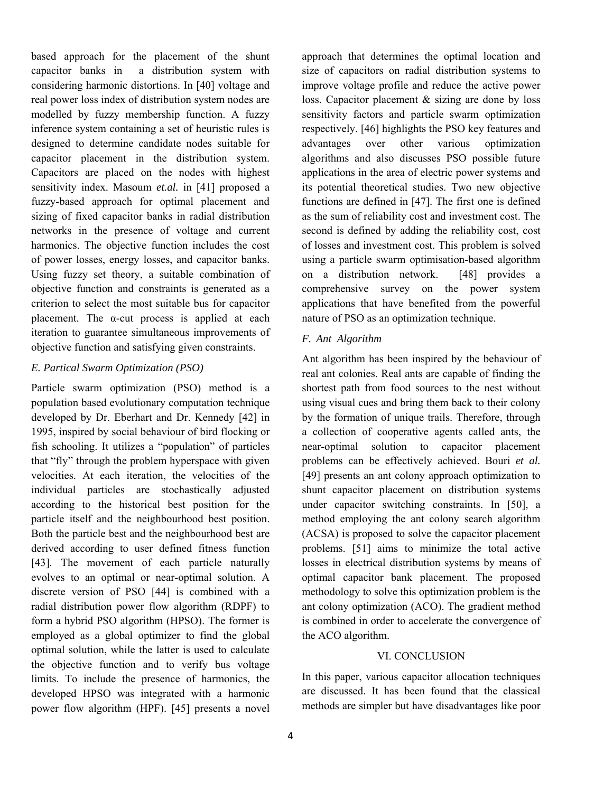based approach for the placement of the shunt capacitor banks in a distribution system with considering harmonic distortions. In [40] voltage and real power loss index of distribution system nodes are modelled by fuzzy membership function. A fuzzy inference system containing a set of heuristic rules is designed to determine candidate nodes suitable for capacitor placement in the distribution system. Capacitors are placed on the nodes with highest sensitivity index. Masoum *et.al.* in [41] proposed a fuzzy-based approach for optimal placement and sizing of fixed capacitor banks in radial distribution networks in the presence of voltage and current harmonics. The objective function includes the cost of power losses, energy losses, and capacitor banks. Using fuzzy set theory, a suitable combination of objective function and constraints is generated as a criterion to select the most suitable bus for capacitor placement. The  $\alpha$ -cut process is applied at each iteration to guarantee simultaneous improvements of objective function and satisfying given constraints.

## *E. Partical Swarm Optimization (PSO)*

Particle swarm optimization (PSO) method is a population based evolutionary computation technique developed by Dr. Eberhart and Dr. Kennedy [42] in 1995, inspired by social behaviour of bird flocking or fish schooling. It utilizes a "population" of particles that "fly" through the problem hyperspace with given velocities. At each iteration, the velocities of the individual particles are stochastically adjusted according to the historical best position for the particle itself and the neighbourhood best position. Both the particle best and the neighbourhood best are derived according to user defined fitness function [43]. The movement of each particle naturally evolves to an optimal or near-optimal solution. A discrete version of PSO [44] is combined with a radial distribution power flow algorithm (RDPF) to form a hybrid PSO algorithm (HPSO). The former is employed as a global optimizer to find the global optimal solution, while the latter is used to calculate the objective function and to verify bus voltage limits. To include the presence of harmonics, the developed HPSO was integrated with a harmonic power flow algorithm (HPF). [45] presents a novel

approach that determines the optimal location and size of capacitors on radial distribution systems to improve voltage profile and reduce the active power loss. Capacitor placement & sizing are done by loss sensitivity factors and particle swarm optimization respectively. [46] highlights the PSO key features and advantages over other various optimization algorithms and also discusses PSO possible future applications in the area of electric power systems and its potential theoretical studies. Two new objective functions are defined in [47]. The first one is defined as the sum of reliability cost and investment cost. The second is defined by adding the reliability cost, cost of losses and investment cost. This problem is solved using a particle swarm optimisation-based algorithm on a distribution network. [48] provides a comprehensive survey on the power system applications that have benefited from the powerful nature of PSO as an optimization technique.

# *F. Ant Algorithm*

Ant algorithm has been inspired by the behaviour of real ant colonies. Real ants are capable of finding the shortest path from food sources to the nest without using visual cues and bring them back to their colony by the formation of unique trails. Therefore, through a collection of cooperative agents called ants, the near-optimal solution to capacitor placement problems can be effectively achieved. Bouri *et al.*  [49] presents an ant colony approach optimization to shunt capacitor placement on distribution systems under capacitor switching constraints. In [50], a method employing the ant colony search algorithm (ACSA) is proposed to solve the capacitor placement problems. [51] aims to minimize the total active losses in electrical distribution systems by means of optimal capacitor bank placement. The proposed methodology to solve this optimization problem is the ant colony optimization (ACO). The gradient method is combined in order to accelerate the convergence of the ACO algorithm.

## VI. CONCLUSION

In this paper, various capacitor allocation techniques are discussed. It has been found that the classical methods are simpler but have disadvantages like poor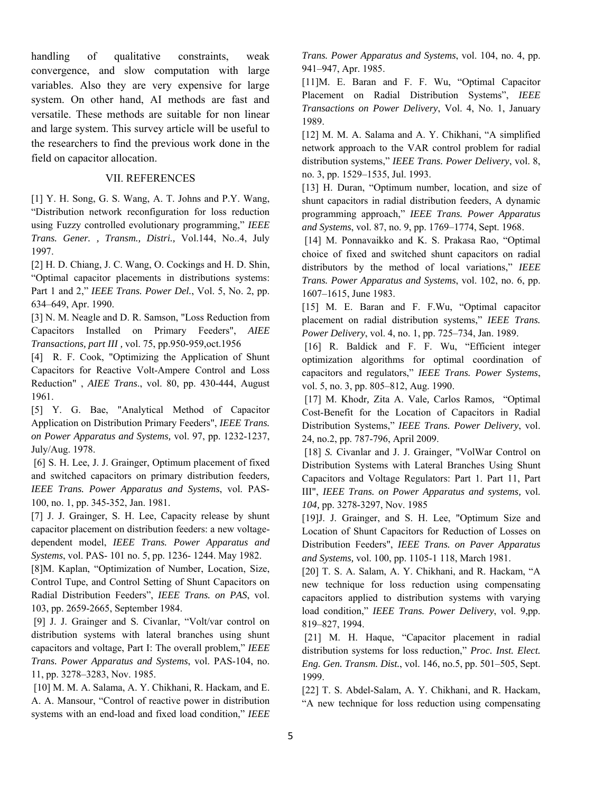handling of qualitative constraints, weak convergence, and slow computation with large variables. Also they are very expensive for large system. On other hand, AI methods are fast and versatile. These methods are suitable for non linear and large system. This survey article will be useful to the researchers to find the previous work done in the field on capacitor allocation.

#### VII. REFERENCES

[1] Y. H. Song, G. S. Wang, A. T. Johns and P.Y. Wang, "Distribution network reconfiguration for loss reduction using Fuzzy controlled evolutionary programming," *IEEE Trans. Gener. , Transm., Distri.,* Vol.144, No..4, July 1997.

[2] H. D. Chiang, J. C. Wang, O. Cockings and H. D. Shin, "Optimal capacitor placements in distributions systems: Part 1 and 2," *IEEE Trans. Power Del.*, Vol. 5, No. 2, pp. 634–649, Apr. 1990.

[3] N. M. Neagle and D. R. Samson, "Loss Reduction from Capacitors Installed on Primary Feeders", *AIEE Transactions, part III ,* vol. 75, pp.950-959,oct.1956

[4] R. F. Cook, "Optimizing the Application of Shunt Capacitors for Reactive Volt-Ampere Control and Loss Reduction" , *AIEE Trans*., vol. 80, pp. 430-444, August 1961.

[5] Y. G. Bae, "Analytical Method of Capacitor Application on Distribution Primary Feeders", *IEEE Trans. on Power Apparatus and Systems,* vol. 97, pp. 1232-1237, July/Aug. 1978.

 [6] S. H. Lee, J. J. Grainger, Optimum placement of fixed and switched capacitors on primary distribution feeders*, IEEE Trans. Power Apparatus and Systems*, vol. PAS-100, no. 1, pp. 345-352, Jan. 1981.

[7] J. J. Grainger, S. H. Lee, Capacity release by shunt capacitor placement on distribution feeders: a new voltagedependent model, *IEEE Trans. Power Apparatus and Systems*, vol. PAS- 101 no. 5, pp. 1236- 1244. May 1982.

[8]M. Kaplan, "Optimization of Number, Location, Size, Control Tupe, and Control Setting of Shunt Capacitors on Radial Distribution Feeders", *IEEE Trans. on PAS*, vol. 103, pp. 2659-2665, September 1984.

 [9] J. J. Grainger and S. Civanlar, "Volt/var control on distribution systems with lateral branches using shunt capacitors and voltage, Part I: The overall problem," *IEEE Trans. Power Apparatus and Systems*, vol. PAS-104, no. 11, pp. 3278–3283, Nov. 1985.

 [10] M. M. A. Salama, A. Y. Chikhani, R. Hackam, and E. A. A. Mansour, "Control of reactive power in distribution systems with an end-load and fixed load condition," *IEEE*  *Trans. Power Apparatus and Systems*, vol. 104, no. 4, pp. 941–947, Apr. 1985.

[11]M. E. Baran and F. F. Wu, "Optimal Capacitor Placement on Radial Distribution Systems", *IEEE Transactions on Power Delivery*, Vol. 4, No. 1, January 1989.

[12] M. M. A. Salama and A. Y. Chikhani, "A simplified network approach to the VAR control problem for radial distribution systems," *IEEE Trans. Power Delivery*, vol. 8, no. 3, pp. 1529–1535, Jul. 1993.

[13] H. Duran, "Optimum number, location, and size of shunt capacitors in radial distribution feeders, A dynamic programming approach," *IEEE Trans. Power Apparatus and Systems*, vol. 87, no. 9, pp. 1769–1774, Sept. 1968.

[14] M. Ponnavaikko and K. S. Prakasa Rao, "Optimal choice of fixed and switched shunt capacitors on radial distributors by the method of local variations," *IEEE Trans. Power Apparatus and Systems*, vol. 102, no. 6, pp. 1607–1615, June 1983.

[15] M. E. Baran and F. F.Wu, "Optimal capacitor placement on radial distribution systems," *IEEE Trans. Power Delivery*, vol. 4, no. 1, pp. 725–734, Jan. 1989.

[16] R. Baldick and F. F. Wu, "Efficient integer optimization algorithms for optimal coordination of capacitors and regulators," *IEEE Trans. Power Systems*, vol. 5, no. 3, pp. 805–812, Aug. 1990.

 [17] M. Khodr*,* Zita A. Vale*,* Carlos Ramos*,* "Optimal Cost-Benefit for the Location of Capacitors in Radial Distribution Systems," *IEEE Trans. Power Delivery*, vol. 24, no.2, pp. 787-796, April 2009.

[18] S. Civanlar and J. J. Grainger, "VolWar Control on Distribution Systems with Lateral Branches Using Shunt Capacitors and Voltage Regulators: Part 1. Part 11, Part III", *IEEE Trans. on Power Apparatus and systems,* vol. *104,* pp. 3278-3297, Nov. 1985

[19]J. J. Grainger, and S. H. Lee, "Optimum Size and Location of Shunt Capacitors for Reduction of Losses on Distribution Feeders", *IEEE Trans. on Paver Apparatus and Systems,* vol. 100, pp. 1105-1 118, March 1981.

[20] T. S. A. Salam, A. Y. Chikhani, and R. Hackam, "A new technique for loss reduction using compensating capacitors applied to distribution systems with varying load condition," *IEEE Trans. Power Delivery*, vol. 9,pp. 819–827, 1994.

 [21] M. H. Haque, "Capacitor placement in radial distribution systems for loss reduction," *Proc. Inst. Elect. Eng. Gen. Transm. Dist.*, vol. 146, no.5, pp. 501–505, Sept. 1999.

[22] T. S. Abdel-Salam, A. Y. Chikhani, and R. Hackam, "A new technique for loss reduction using compensating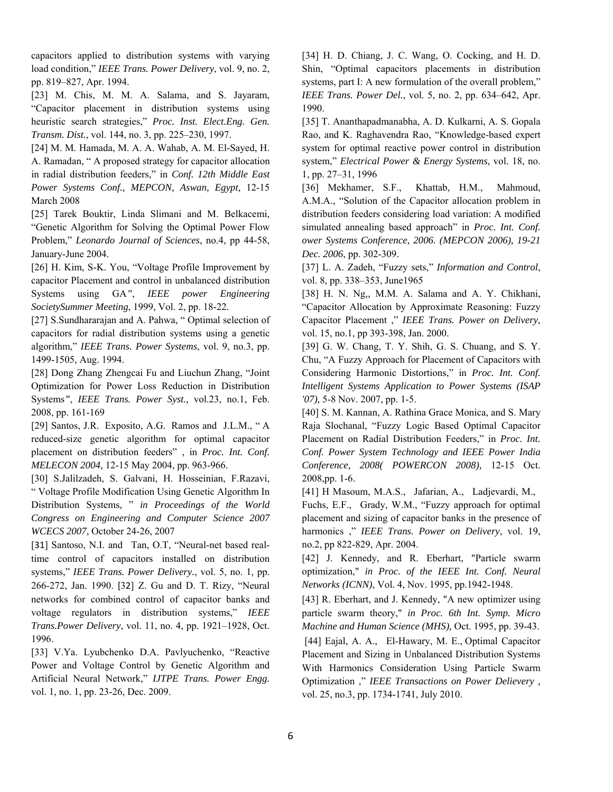capacitors applied to distribution systems with varying load condition," *IEEE Trans. Power Delivery*, vol. 9, no. 2, pp. 819–827, Apr. 1994.

[23] M. Chis, M. M. A. Salama, and S. Jayaram, "Capacitor placement in distribution systems using heuristic search strategies," *Proc. Inst. Elect.Eng. Gen. Transm. Dist.*, vol. 144, no. 3, pp. 225–230, 1997.

[24] M. M. Hamada, M. A. A. Wahab, A. M. El-Sayed, H. A. Ramadan, " A proposed strategy for capacitor allocation in radial distribution feeders," in *Conf. 12th Middle East Power Systems Conf., MEPCON, Aswan, Egypt,* 12-15 March 2008

[25] Tarek Bouktir, Linda Slimani and M. Belkacemi, "Genetic Algorithm for Solving the Optimal Power Flow Problem," *Leonardo Journal of Sciences*, no.4, pp 44-58, January-June 2004.

[26] H. Kim, S-K. You, "Voltage Profile Improvement by capacitor Placement and control in unbalanced distribution Systems using GA*"*, *IEEE power Engineering SocietySummer Meeting*, 1999, Vol. 2, pp. 18-22.

[27] S.Sundhararajan and A. Pahwa, " Optimal selection of capacitors for radial distribution systems using a genetic algorithm," *IEEE Trans. Power Systems*, vol. 9, no.3, pp. 1499-1505, Aug. 1994.

[28] Dong Zhang Zhengcai Fu and Liuchun Zhang, "Joint Optimization for Power Loss Reduction in Distribution Systems*"*, *IEEE Trans. Power Syst.,* vol.23, no.1, Feb. 2008, pp. 161-169

[29] Santos, J.R. Exposito, A.G. Ramos and J.L.M., " A reduced-size genetic algorithm for optimal capacitor placement on distribution feeders" , in *Proc. Int. Conf. MELECON 2004,* 12-15 May 2004, pp. 963-966.

[30] S.Jalilzadeh, S. Galvani, H. Hosseinian, F.Razavi, " Voltage Profile Modification Using Genetic Algorithm In Distribution Systems, " *in Proceedings of the World Congress on Engineering and Computer Science 2007 WCECS 2007*, October 24-26, 2007

[31] Santoso, N.I. and Tan, O.T, "Neural-net based realtime control of capacitors installed on distribution systems," *IEEE Trans. Power Delivery.*, vol. 5, no. 1, pp. 266-272, Jan. 1990. [32] Z. Gu and D. T. Rizy, "Neural networks for combined control of capacitor banks and voltage regulators in distribution systems," *IEEE Trans.Power Delivery*, vol. 11, no. 4, pp. 1921–1928, Oct. 1996.

[33] V.Ya. Lyubchenko D.A. Pavlyuchenko, "Reactive Power and Voltage Control by Genetic Algorithm and Artificial Neural Network," *IJTPE Trans. Power Engg.* vol. 1, no. 1, pp. 23-26, Dec. 2009.

[34] H. D. Chiang, J. C. Wang, O. Cocking, and H. D. Shin, "Optimal capacitors placements in distribution systems, part I: A new formulation of the overall problem," *IEEE Trans. Power Del.*, vol. 5, no. 2, pp. 634–642, Apr. 1990.

[35] T. Ananthapadmanabha, A. D. Kulkarni, A. S. Gopala Rao, and K. Raghavendra Rao, "Knowledge-based expert system for optimal reactive power control in distribution system," *Electrical Power & Energy Systems*, vol. 18, no. 1, pp. 27–31, 1996

[36] Mekhamer, S.F., Khattab, H.M., Mahmoud, A.M.A., "Solution of the Capacitor allocation problem in distribution feeders considering load variation: A modified simulated annealing based approach" in *Proc. Int. Conf. ower Systems Conference, 2006. (MEPCON 2006), 19-21 Dec. 2006*, pp. 302-309.

[37] L. A. Zadeh, "Fuzzy sets," *Information and Control*, vol. 8, pp. 338–353, June1965

[38] H. N. Ng*,,* M.M. A. Salama and A. Y. Chikhani, "Capacitor Allocation by Approximate Reasoning: Fuzzy Capacitor Placement ," *IEEE Trans. Power on Delivery*, vol. 15, no.1, pp 393-398, Jan. 2000.

[39] G. W. Chang, T. Y. Shih, G. S. Chuang, and S. Y. Chu, "A Fuzzy Approach for Placement of Capacitors with Considering Harmonic Distortions," in *Proc. Int. Conf. Intelligent Systems Application to Power Systems (ISAP '07),* 5-8 Nov. 2007, pp. 1-5.

[40] S. M. Kannan, A. Rathina Grace Monica, and S. Mary Raja Slochanal, "Fuzzy Logic Based Optimal Capacitor Placement on Radial Distribution Feeders," in *Proc. Int. Conf. Power System Technology and IEEE Power India Conference, 2008( POWERCON 2008),* 12-15 Oct. 2008,pp. 1-6.

[41] H Masoum, M.A.S., Jafarian, A., Ladjevardi, M.,

Fuchs, E.F., Grady, W.M., "Fuzzy approach for optimal placement and sizing of capacitor banks in the presence of harmonics ," *IEEE Trans. Power on Delivery*, vol. 19, no.2, pp 822-829, Apr. 2004.

[42] J. Kennedy, and R. Eberhart, "Particle swarm optimization," *in Proc. of the IEEE Int. Conf. Neural Networks (ICNN)*, Vol. 4, Nov. 1995, pp.1942-1948.

[43] R. Eberhart, and J. Kennedy, "A new optimizer using particle swarm theory," *in Proc. 6th Int. Symp. Micro Machine and Human Science (MHS),* Oct. 1995, pp. 39-43.

 [44] Eajal, A. A., El-Hawary, M. E., Optimal Capacitor Placement and Sizing in Unbalanced Distribution Systems With Harmonics Consideration Using Particle Swarm Optimization ," *IEEE Transactions on Power Delievery ,* vol. 25, no.3, pp. 1734-1741, July 2010.